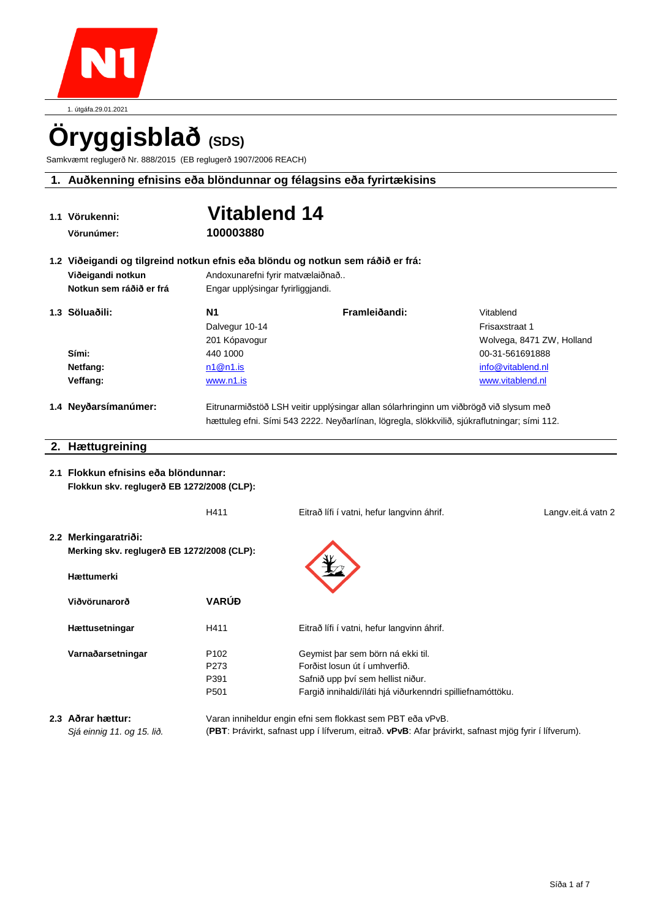

1. útgáfa.29.01.2021

# Öryggisblað<sup>(SDS)</sup>

Samkvæmt reglugerð Nr. 888/2015 (EB reglugerð 1907/2006 REACH)

# **1. Auðkenning efnisins eða blöndunnar og félagsins eða fyrirtækisins**

|                                                                                 | 1.1 Vörukenni:                                                                     | <b>Vitablend 14</b>                                        |                                                                                                                                                                                       |                           |  |
|---------------------------------------------------------------------------------|------------------------------------------------------------------------------------|------------------------------------------------------------|---------------------------------------------------------------------------------------------------------------------------------------------------------------------------------------|---------------------------|--|
|                                                                                 | Vörunúmer:                                                                         | 100003880                                                  |                                                                                                                                                                                       |                           |  |
| 1.2 Viðeigandi og tilgreind notkun efnis eða blöndu og notkun sem ráðið er frá: |                                                                                    |                                                            |                                                                                                                                                                                       |                           |  |
|                                                                                 | Viðeigandi notkun                                                                  | Andoxunarefni fyrir matvælaiðnað                           |                                                                                                                                                                                       |                           |  |
|                                                                                 | Notkun sem ráðið er frá                                                            | Engar upplýsingar fyrirliggjandi.                          |                                                                                                                                                                                       |                           |  |
|                                                                                 | 1.3 Söluaðili:                                                                     | <b>N1</b>                                                  | Framleiðandi:                                                                                                                                                                         | Vitablend                 |  |
|                                                                                 |                                                                                    | Dalvegur 10-14                                             |                                                                                                                                                                                       | Frisaxstraat 1            |  |
|                                                                                 |                                                                                    | 201 Kópavogur                                              |                                                                                                                                                                                       | Wolvega, 8471 ZW, Holland |  |
|                                                                                 | Sími:                                                                              | 440 1000                                                   |                                                                                                                                                                                       | 00-31-561691888           |  |
|                                                                                 | Netfang:                                                                           | n1@n1.is                                                   |                                                                                                                                                                                       | info@vitablend.nl         |  |
|                                                                                 | Veffang:                                                                           | www.n1.is                                                  |                                                                                                                                                                                       | www.vitablend.nl          |  |
|                                                                                 | 1.4 Neyðarsímanúmer:                                                               |                                                            | Eitrunarmiðstöð LSH veitir upplýsingar allan sólarhringinn um viðbrögð við slysum með<br>hættuleg efni. Sími 543 2222. Neyðarlínan, lögregla, slökkvilið, sjúkraflutningar; sími 112. |                           |  |
|                                                                                 | 2. Hættugreining                                                                   |                                                            |                                                                                                                                                                                       |                           |  |
|                                                                                 | 2.1 Flokkun efnisins eða blöndunnar:<br>Flokkun skv. reglugerð EB 1272/2008 (CLP): |                                                            |                                                                                                                                                                                       |                           |  |
|                                                                                 |                                                                                    | H411                                                       | Eitrað lífi í vatni, hefur langvinn áhrif.                                                                                                                                            | Langv.eit.á vatn 2        |  |
|                                                                                 | 2.2 Merkingaratriði:<br>Merking skv. reglugerð EB 1272/2008 (CLP):<br>Hættumerki   |                                                            |                                                                                                                                                                                       |                           |  |
|                                                                                 | Viðvörunarorð                                                                      | <b>VARÚĐ</b>                                               |                                                                                                                                                                                       |                           |  |
|                                                                                 | Hættusetningar                                                                     | H411                                                       | Eitrað lífi í vatni, hefur langvinn áhrif.                                                                                                                                            |                           |  |
|                                                                                 | Varnaðarsetningar                                                                  | P <sub>102</sub>                                           | Geymist þar sem börn ná ekki til.                                                                                                                                                     |                           |  |
|                                                                                 |                                                                                    | P273                                                       | Forðist losun út í umhverfið.                                                                                                                                                         |                           |  |
|                                                                                 |                                                                                    | P391                                                       | Safnið upp því sem hellist niður.                                                                                                                                                     |                           |  |
|                                                                                 |                                                                                    | P <sub>501</sub>                                           | Fargið innihaldi/íláti hjá viðurkenndri spilliefnamóttöku.                                                                                                                            |                           |  |
|                                                                                 | 2.3 Aðrar hættur:                                                                  | Varan inniheldur engin efni sem flokkast sem PBT eða vPvB. |                                                                                                                                                                                       |                           |  |

*Sjá einnig 11. og 15. lið.* (**PBT**: Þrávirkt, safnast upp í lífverum, eitrað. **vPvB**: Afar þrávirkt, safnast mjög fyrir í lífverum).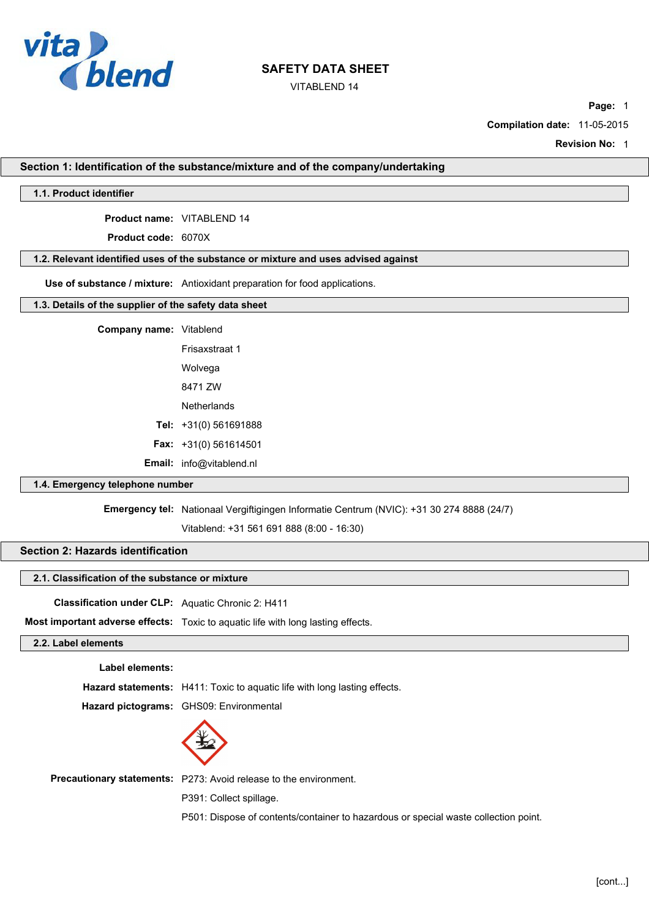

VITABLEND 14

**Page:** 1

**Compilation date:** 11-05-2015

**Revision No:** 1

**Section 1: Identification of the substance/mixture and of the company/undertaking**

## **1.1. Product identifier**

**Product name:** VITABLEND 14

**Product code:** 6070X

## **1.2. Relevant identified uses of the substance or mixture and uses advised against**

**Use of substance / mixture:** Antioxidant preparation for food applications.

## **1.3. Details of the supplier of the safety data sheet**

| Company name: Vitablend |                                 |
|-------------------------|---------------------------------|
|                         | Frisaxstraat 1                  |
|                         | Wolvega                         |
|                         | 8471 7W                         |
|                         | Netherlands                     |
|                         | Tel: $+31(0)$ 561691888         |
|                         | <b>Fax:</b> $+31(0)$ 561614501  |
|                         | <b>Email:</b> info@vitablend.nl |

## **1.4. Emergency telephone number**

**Emergency tel:** Nationaal Vergiftigingen Informatie Centrum (NVIC): +31 30 274 8888 (24/7)

Vitablend: +31 561 691 888 (8:00 - 16:30)

## **Section 2: Hazards identification**

#### **2.1. Classification of the substance or mixture**

**Classification under CLP:** Aquatic Chronic 2: H411

**Most important adverse effects:** Toxic to aquatic life with long lasting effects.

## **2.2. Label elements**

**Label elements:**

**Hazard statements:** H411: Toxic to aquatic life with long lasting effects.

**Hazard pictograms:** GHS09: Environmental



**Precautionary statements:** P273: Avoid release to the environment.

P391: Collect spillage.

P501: Dispose of contents/container to hazardous or special waste collection point.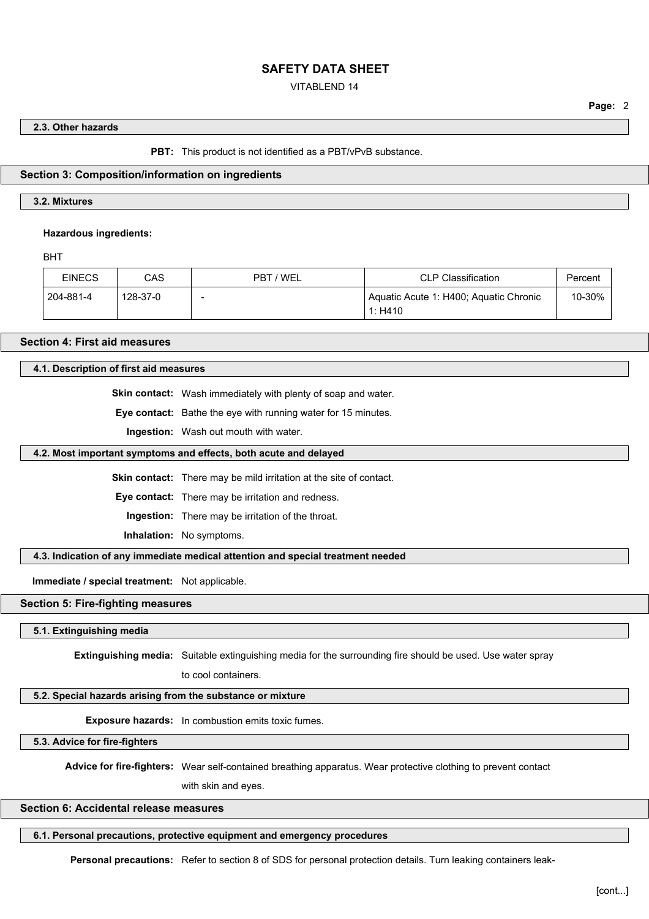## VITABLEND 14

## **Page:** 2

#### **2.3. Other hazards**

**PBT:** This product is not identified as a PBT/vPvB substance.

#### **Section 3: Composition/information on ingredients**

## **3.2. Mixtures**

#### **Hazardous ingredients:**

BHT

| <b>EINECS</b> | CAS      | - / WEL<br>PBT | <b>CLP Classification</b>                         | Percent |
|---------------|----------|----------------|---------------------------------------------------|---------|
| 204-881-4     | 128-37-0 |                | Aquatic Acute 1: H400; Aquatic Chronic<br>1: H410 | 10-30%  |

**Section 4: First aid measures**

## **4.1. Description of first aid measures**

**Skin contact:** Wash immediately with plenty of soap and water.

**Eye contact:** Bathe the eye with running water for 15 minutes.

**Ingestion:** Wash out mouth with water.

#### **4.2. Most important symptoms and effects, both acute and delayed**

**Skin contact:** There may be mild irritation at the site of contact.

**Eye contact:** There may be irritation and redness.

**Ingestion:** There may be irritation of the throat.

**Inhalation:** No symptoms.

**4.3. Indication of any immediate medical attention and special treatment needed**

**Immediate / special treatment:** Not applicable.

## **Section 5: Fire-fighting measures**

**5.1. Extinguishing media**

**Extinguishing media:** Suitable extinguishing media for the surrounding fire should be used. Use water spray

to cool containers.

#### **5.2. Special hazards arising from the substance or mixture**

**Exposure hazards:** In combustion emits toxic fumes.

**5.3. Advice for fire-fighters**

**Advice for fire-fighters:** Wear self-contained breathing apparatus. Wear protective clothing to prevent contact

with skin and eyes.

## **Section 6: Accidental release measures**

**6.1. Personal precautions, protective equipment and emergency procedures**

**Personal precautions:** Refer to section 8 of SDS for personal protection details. Turn leaking containers leak-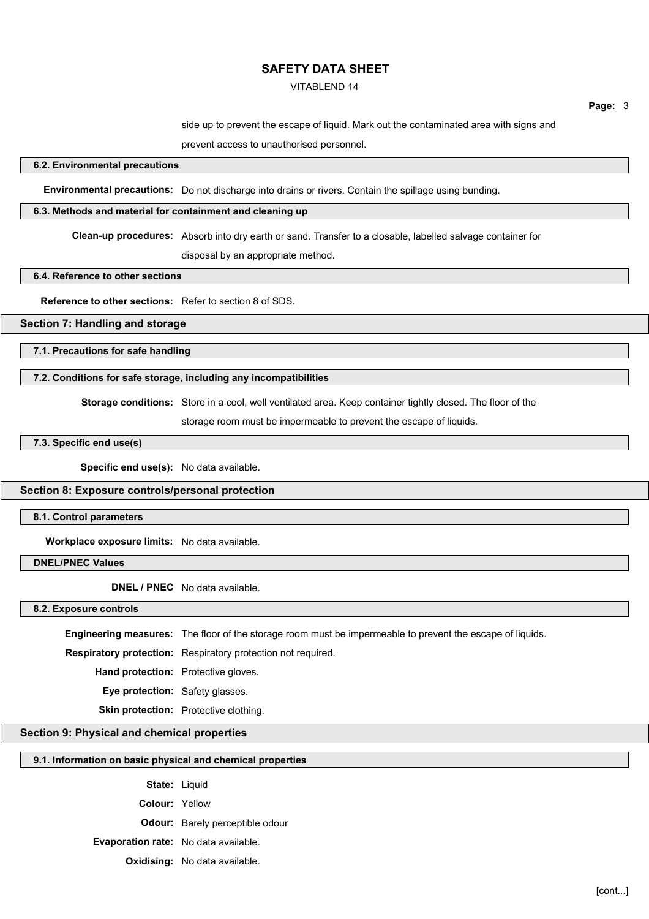#### VITABLEND 14

**Page:** 3

side up to prevent the escape of liquid. Mark out the contaminated area with signs and

prevent access to unauthorised personnel.

#### **6.2. Environmental precautions**

**Environmental precautions:** Do not discharge into drains or rivers. Contain the spillage using bunding.

#### **6.3. Methods and material for containment and cleaning up**

**Clean-up procedures:** Absorb into dry earth or sand. Transfer to a closable, labelled salvage container for

disposal by an appropriate method.

**6.4. Reference to other sections**

**Reference to other sections:** Refer to section 8 of SDS.

## **Section 7: Handling and storage**

**7.1. Precautions for safe handling**

## **7.2. Conditions for safe storage, including any incompatibilities**

**Storage conditions:** Store in a cool, well ventilated area. Keep container tightly closed. The floor of the

storage room must be impermeable to prevent the escape of liquids.

## **7.3. Specific end use(s)**

**Specific end use(s):** No data available.

#### **Section 8: Exposure controls/personal protection**

**8.1. Control parameters**

**Workplace exposure limits:** No data available.

**DNEL/PNEC Values**

**DNEL / PNEC** No data available.

**8.2. Exposure controls**

**Engineering measures:** The floor of the storage room must be impermeable to prevent the escape of liquids.

**Respiratory protection:** Respiratory protection not required.

**Hand protection:** Protective gloves.

**Eye protection:** Safety glasses.

**Skin protection:** Protective clothing.

## **Section 9: Physical and chemical properties**

## **9.1. Information on basic physical and chemical properties**

State: Liquid **Colour:** Yellow **Odour:** Barely perceptible odour **Evaporation rate:** No data available. **Oxidising:** No data available.

[cont...]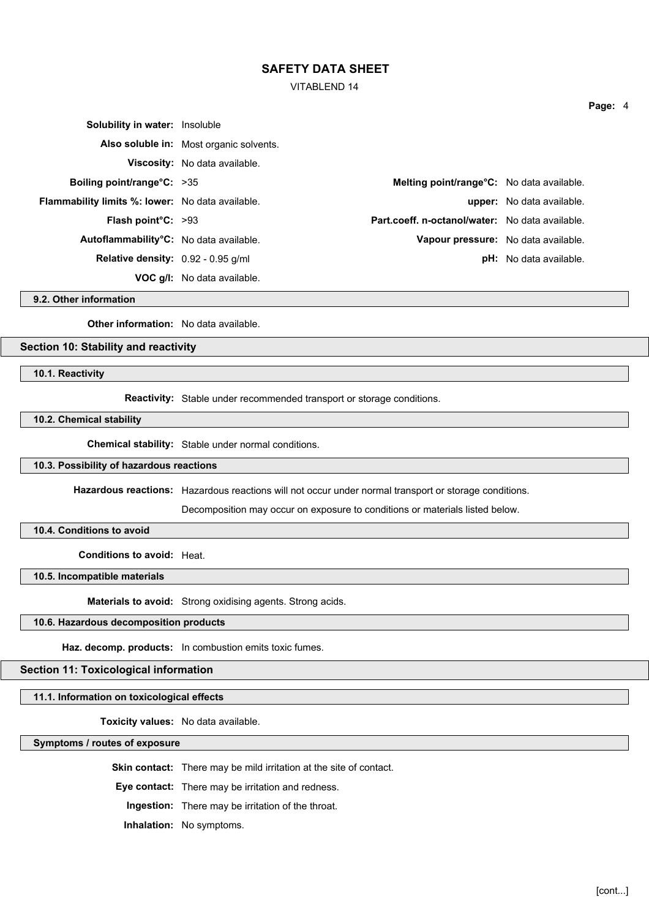VITABLEND 14

| <b>Solubility in water: Insoluble</b>                   |                                         |                                                 |                                  |
|---------------------------------------------------------|-----------------------------------------|-------------------------------------------------|----------------------------------|
|                                                         | Also soluble in: Most organic solvents. |                                                 |                                  |
|                                                         | Viscosity: No data available.           |                                                 |                                  |
| Boiling point/range $C: >35$                            |                                         | Melting point/range°C: No data available.       |                                  |
| <b>Flammability limits %: lower:</b> No data available. |                                         |                                                 | <b>upper:</b> No data available. |
| <b>Flash point <math>C: &gt;93</math></b>               |                                         | Part.coeff. n-octanol/water: No data available. |                                  |
| Autoflammability <sup>°</sup> C: No data available.     |                                         | Vapour pressure: No data available.             |                                  |
| <b>Relative density:</b> $0.92 - 0.95$ g/ml             |                                         |                                                 | <b>pH:</b> No data available.    |
|                                                         | <b>VOC g/l:</b> No data available.      |                                                 |                                  |

**9.2. Other information**

**Other information:** No data available.

## **Section 10: Stability and reactivity**

**10.1. Reactivity**

**Reactivity:** Stable under recommended transport or storage conditions.

**10.2. Chemical stability**

**Chemical stability:** Stable under normal conditions.

#### **10.3. Possibility of hazardous reactions**

**Hazardous reactions:** Hazardous reactions will not occur under normal transport or storage conditions.

Decomposition may occur on exposure to conditions or materials listed below.

**10.4. Conditions to avoid**

**Conditions to avoid:** Heat.

**10.5. Incompatible materials**

**Materials to avoid:** Strong oxidising agents. Strong acids.

## **10.6. Hazardous decomposition products**

**Haz. decomp. products:** In combustion emits toxic fumes.

## **Section 11: Toxicological information**

## **11.1. Information on toxicological effects**

**Toxicity values:** No data available.

**Symptoms / routes of exposure**

**Skin contact:** There may be mild irritation at the site of contact.

**Eye contact:** There may be irritation and redness.

**Ingestion:** There may be irritation of the throat.

**Inhalation:** No symptoms.

**Page:** 4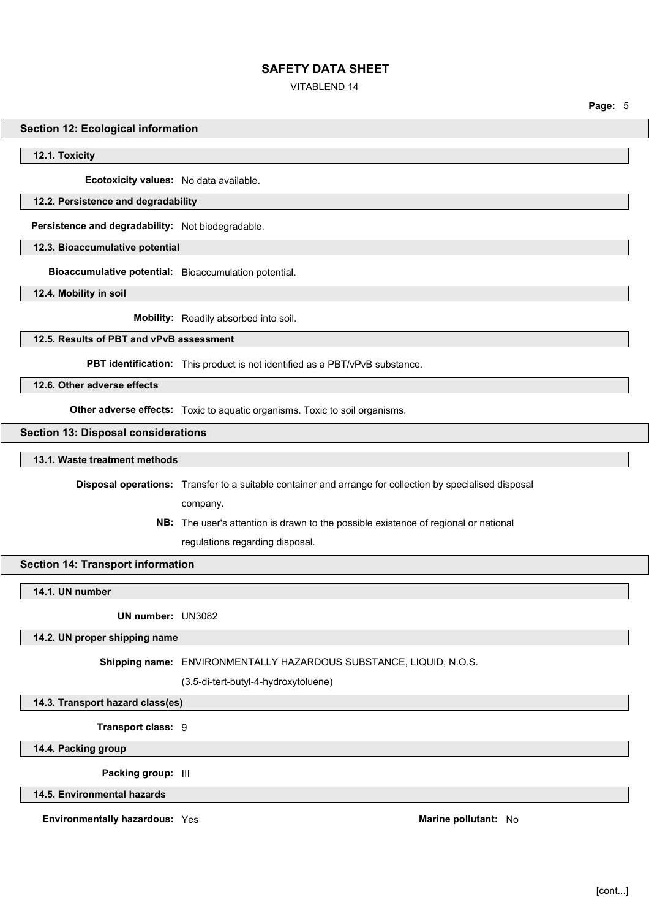#### VITABLEND 14

**Page:** 5

#### **Section 12: Ecological information**

**12.1. Toxicity**

**Ecotoxicity values:** No data available.

#### **12.2. Persistence and degradability**

**Persistence and degradability:** Not biodegradable.

**12.3. Bioaccumulative potential**

**Bioaccumulative potential:** Bioaccumulation potential.

**12.4. Mobility in soil**

**Mobility:** Readily absorbed into soil.

## **12.5. Results of PBT and vPvB assessment**

**PBT identification:** This product is not identified as a PBT/vPvB substance.

**12.6. Other adverse effects**

**Other adverse effects:** Toxic to aquatic organisms. Toxic to soil organisms.

## **Section 13: Disposal considerations**

#### **13.1. Waste treatment methods**

**Disposal operations:** Transfer to a suitable container and arrange for collection by specialised disposal

company.

**NB:** The user's attention is drawn to the possible existence of regional or national

regulations regarding disposal.

## **Section 14: Transport information**

**14.1. UN number**

**UN number:** UN3082

## **14.2. UN proper shipping name**

**Shipping name:** ENVIRONMENTALLY HAZARDOUS SUBSTANCE, LIQUID, N.O.S.

(3,5-di-tert-butyl-4-hydroxytoluene)

**14.3. Transport hazard class(es)**

**Transport class:** 9

**14.4. Packing group**

**Packing group:** III

**14.5. Environmental hazards**

**Environmentally hazardous:** Yes **Marine pollutant:** No **Marine pollutant:** No